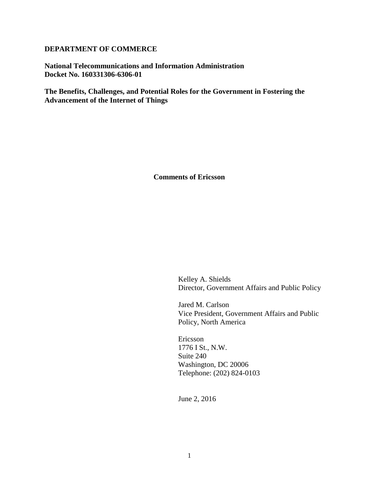## **DEPARTMENT OF COMMERCE**

**National Telecommunications and Information Administration Docket No. 160331306-6306-01**

**The Benefits, Challenges, and Potential Roles for the Government in Fostering the Advancement of the Internet of Things**

**Comments of Ericsson**

Kelley A. Shields Director, Government Affairs and Public Policy

Jared M. Carlson Vice President, Government Affairs and Public Policy, North America

Ericsson 1776 I St., N.W. Suite 240 Washington, DC 20006 Telephone: (202) 824-0103

June 2, 2016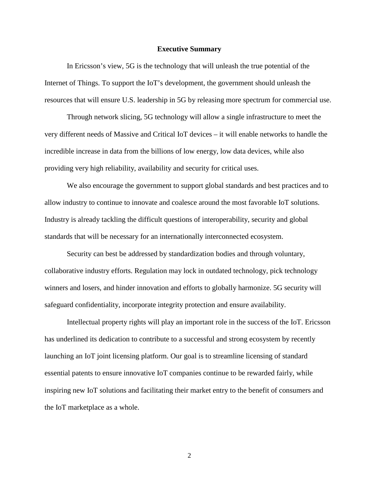#### **Executive Summary**

In Ericsson's view, 5G is the technology that will unleash the true potential of the Internet of Things. To support the IoT's development, the government should unleash the resources that will ensure U.S. leadership in 5G by releasing more spectrum for commercial use.

Through network slicing, 5G technology will allow a single infrastructure to meet the very different needs of Massive and Critical IoT devices – it will enable networks to handle the incredible increase in data from the billions of low energy, low data devices, while also providing very high reliability, availability and security for critical uses.

We also encourage the government to support global standards and best practices and to allow industry to continue to innovate and coalesce around the most favorable IoT solutions. Industry is already tackling the difficult questions of interoperability, security and global standards that will be necessary for an internationally interconnected ecosystem.

Security can best be addressed by standardization bodies and through voluntary, collaborative industry efforts. Regulation may lock in outdated technology, pick technology winners and losers, and hinder innovation and efforts to globally harmonize. 5G security will safeguard confidentiality, incorporate integrity protection and ensure availability.

Intellectual property rights will play an important role in the success of the IoT. Ericsson has underlined its dedication to contribute to a successful and strong ecosystem by recently launching an IoT joint licensing platform. Our goal is to streamline licensing of standard essential patents to ensure innovative IoT companies continue to be rewarded fairly, while inspiring new IoT solutions and facilitating their market entry to the benefit of consumers and the IoT marketplace as a whole.

2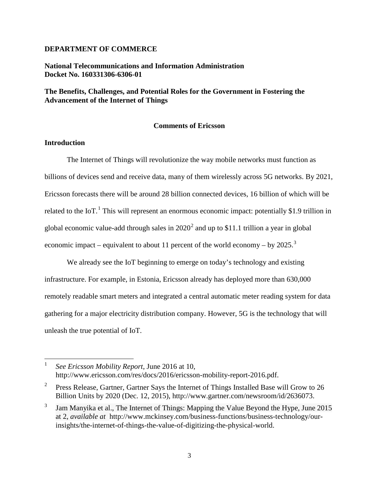## **DEPARTMENT OF COMMERCE**

## **National Telecommunications and Information Administration Docket No. 160331306-6306-01**

# **The Benefits, Challenges, and Potential Roles for the Government in Fostering the Advancement of the Internet of Things**

#### **Comments of Ericsson**

# **Introduction**

l

The Internet of Things will revolutionize the way mobile networks must function as billions of devices send and receive data, many of them wirelessly across 5G networks. By 2021, Ericsson forecasts there will be around 28 billion connected devices, 16 billion of which will be related to the IoT.<sup>[1](#page-2-0)</sup> This will represent an enormous economic impact: potentially \$1.9 trillion in global economic value-add through sales in  $2020^2$  $2020^2$  and up to \$11.1 trillion a year in global economic impact – equivalent to about 11 percent of the world economy – by  $2025$ .<sup>[3](#page-2-2)</sup>

We already see the IoT beginning to emerge on today's technology and existing infrastructure. For example, in Estonia, Ericsson already has deployed more than 630,000 remotely readable smart meters and integrated a central automatic meter reading system for data gathering for a major electricity distribution company. However, 5G is the technology that will unleash the true potential of IoT.

<span id="page-2-0"></span><sup>1</sup> *See Ericsson Mobility Report*, June 2016 at 10, http://www.ericsson.com/res/docs/2016/ericsson-mobility-report-2016.pdf.

<span id="page-2-1"></span><sup>&</sup>lt;sup>2</sup> Press Release, Gartner, Gartner Says the Internet of Things Installed Base will Grow to  $26$ Billion Units by 2020 (Dec. 12, 2015), http://www.gartner.com/newsroom/id/2636073.

<span id="page-2-2"></span><sup>&</sup>lt;sup>3</sup> Jam Manyika et al., The Internet of Things: Mapping the Value Beyond the Hype, June 2015 at 2, *available at t*http://www.mckinsey.com/business-functions/business-technology/ourinsights/the-internet-of-things-the-value-of-digitizing-the-physical-world.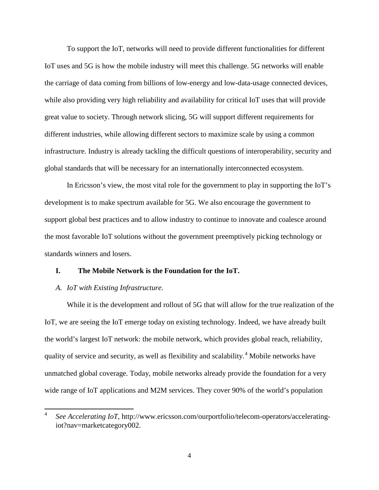To support the IoT, networks will need to provide different functionalities for different IoT uses and 5G is how the mobile industry will meet this challenge. 5G networks will enable the carriage of data coming from billions of low-energy and low-data-usage connected devices, while also providing very high reliability and availability for critical IoT uses that will provide great value to society. Through network slicing, 5G will support different requirements for different industries, while allowing different sectors to maximize scale by using a common infrastructure. Industry is already tackling the difficult questions of interoperability, security and global standards that will be necessary for an internationally interconnected ecosystem.

In Ericsson's view, the most vital role for the government to play in supporting the IoT's development is to make spectrum available for 5G. We also encourage the government to support global best practices and to allow industry to continue to innovate and coalesce around the most favorable IoT solutions without the government preemptively picking technology or standards winners and losers.

## **I. The Mobile Network is the Foundation for the IoT.**

#### *A. IoT with Existing Infrastructure.*

l

While it is the development and rollout of 5G that will allow for the true realization of the IoT, we are seeing the IoT emerge today on existing technology. Indeed, we have already built the world's largest IoT network: the mobile network, which provides global reach, reliability, quality of service and security, as well as flexibility and scalability.[4](#page-3-0) Mobile networks have unmatched global coverage. Today, mobile networks already provide the foundation for a very wide range of IoT applications and M2M services. They cover 90% of the world's population

<span id="page-3-0"></span><sup>4</sup> *See Accelerating IoT*, http://www.ericsson.com/ourportfolio/telecom-operators/acceleratingiot?nav=marketcategory002.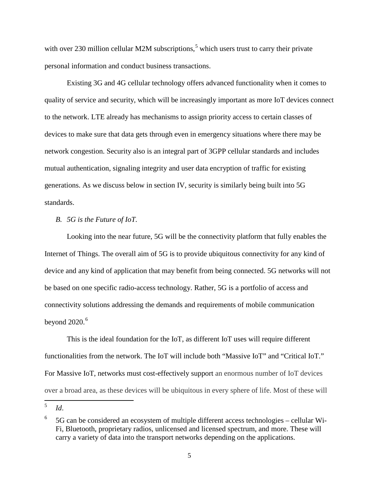with over 230 million cellular M2M subscriptions,<sup>[5](#page-4-0)</sup> which users trust to carry their private personal information and conduct business transactions.

Existing 3G and 4G cellular technology offers advanced functionality when it comes to quality of service and security, which will be increasingly important as more IoT devices connect to the network. LTE already has mechanisms to assign priority access to certain classes of devices to make sure that data gets through even in emergency situations where there may be network congestion. Security also is an integral part of 3GPP cellular standards and includes mutual authentication, signaling integrity and user data encryption of traffic for existing generations. As we discuss below in section IV, security is similarly being built into 5G standards.

## *B. 5G is the Future of IoT.*

Looking into the near future, 5G will be the connectivity platform that fully enables the Internet of Things. The overall aim of 5G is to provide ubiquitous connectivity for any kind of device and any kind of application that may benefit from being connected. 5G networks will not be based on one specific radio-access technology. Rather, 5G is a portfolio of access and connectivity solutions addressing the demands and requirements of mobile communication beyond  $2020.<sup>6</sup>$  $2020.<sup>6</sup>$  $2020.<sup>6</sup>$ 

This is the ideal foundation for the IoT, as different IoT uses will require different functionalities from the network. The IoT will include both "Massive IoT" and "Critical IoT." For Massive IoT, networks must cost-effectively support an enormous number of IoT devices over a broad area, as these devices will be ubiquitous in every sphere of life. Most of these will

<span id="page-4-0"></span><sup>5</sup> *Id*.  $\overline{5}$ 

<span id="page-4-1"></span><sup>6</sup> 5G can be considered an ecosystem of multiple different access technologies – cellular Wi-Fi, Bluetooth, proprietary radios, unlicensed and licensed spectrum, and more. These will carry a variety of data into the transport networks depending on the applications.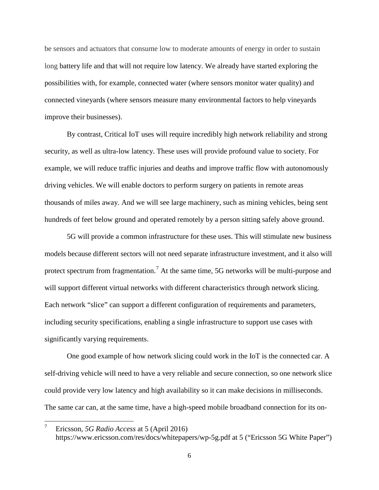be sensors and actuators that consume low to moderate amounts of energy in order to sustain long battery life and that will not require low latency. We already have started exploring the possibilities with, for example, connected water (where sensors monitor water quality) and connected vineyards (where sensors measure many environmental factors to help vineyards improve their businesses).

By contrast, Critical IoT uses will require incredibly high network reliability and strong security, as well as ultra-low latency. These uses will provide profound value to society. For example, we will reduce traffic injuries and deaths and improve traffic flow with autonomously driving vehicles. We will enable doctors to perform surgery on patients in remote areas thousands of miles away. And we will see large machinery, such as mining vehicles, being sent hundreds of feet below ground and operated remotely by a person sitting safely above ground.

5G will provide a common infrastructure for these uses. This will stimulate new business models because different sectors will not need separate infrastructure investment, and it also will protect spectrum from fragmentation.<sup>[7](#page-5-0)</sup> At the same time, 5G networks will be multi-purpose and will support different virtual networks with different characteristics through network slicing. Each network "slice" can support a different configuration of requirements and parameters, including security specifications, enabling a single infrastructure to support use cases with significantly varying requirements.

One good example of how network slicing could work in the IoT is the connected car. A self-driving vehicle will need to have a very reliable and secure connection, so one network slice could provide very low latency and high availability so it can make decisions in milliseconds. The same car can, at the same time, have a high-speed mobile broadband connection for its on-

l

<span id="page-5-0"></span><sup>7</sup> Ericsson, *5G Radio Access* at 5 (April 2016) https://www.ericsson.com/res/docs/whitepapers/wp-5g.pdf at 5 ("Ericsson 5G White Paper")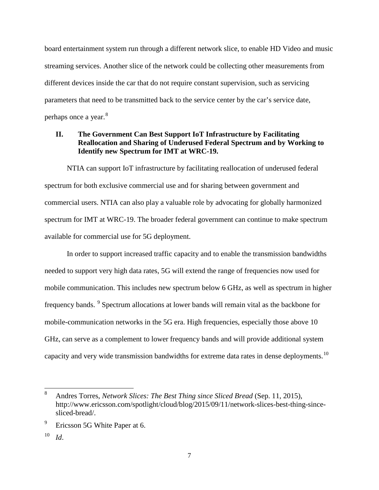board entertainment system run through a different network slice, to enable HD Video and music streaming services. Another slice of the network could be collecting other measurements from different devices inside the car that do not require constant supervision, such as servicing parameters that need to be transmitted back to the service center by the car's service date, perhaps once a year.<sup>[8](#page-6-0)</sup>

# **II. The Government Can Best Support IoT Infrastructure by Facilitating Reallocation and Sharing of Underused Federal Spectrum and by Working to Identify new Spectrum for IMT at WRC-19.**

NTIA can support IoT infrastructure by facilitating reallocation of underused federal spectrum for both exclusive commercial use and for sharing between government and commercial users. NTIA can also play a valuable role by advocating for globally harmonized spectrum for IMT at WRC-19. The broader federal government can continue to make spectrum available for commercial use for 5G deployment.

In order to support increased traffic capacity and to enable the transmission bandwidths needed to support very high data rates, 5G will extend the range of frequencies now used for mobile communication. This includes new spectrum below 6 GHz, as well as spectrum in higher frequency bands. [9](#page-6-1) Spectrum allocations at lower bands will remain vital as the backbone for mobile-communication networks in the 5G era. High frequencies, especially those above 10 GHz, can serve as a complement to lower frequency bands and will provide additional system capacity and very wide transmission bandwidths for extreme data rates in dense deployments.<sup>[10](#page-6-2)</sup>

<span id="page-6-2"></span> $10$  *Id.* 

 $\overline{\phantom{a}}$ 

<span id="page-6-0"></span><sup>8</sup> Andres Torres, *Network Slices: The Best Thing since Sliced Bread* (Sep. 11, 2015), http://www.ericsson.com/spotlight/cloud/blog/2015/09/11/network-slices-best-thing-sincesliced-bread/.

<span id="page-6-1"></span> $9$  Ericsson 5G White Paper at 6.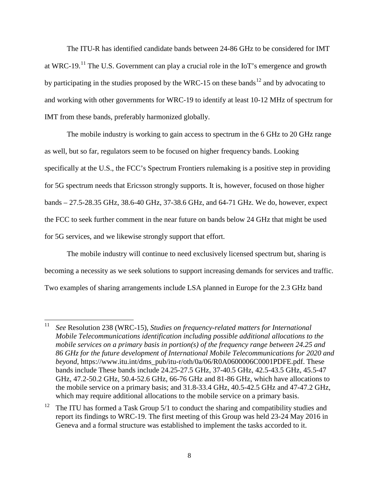The ITU-R has identified candidate bands between 24-86 GHz to be considered for IMT at WRC-19.<sup>[11](#page-7-0)</sup> The U.S. Government can play a crucial role in the IoT's emergence and growth by participating in the studies proposed by the WRC-15 on these bands<sup>[12](#page-7-1)</sup> and by advocating to and working with other governments for WRC-19 to identify at least 10-12 MHz of spectrum for IMT from these bands, preferably harmonized globally.

The mobile industry is working to gain access to spectrum in the 6 GHz to 20 GHz range as well, but so far, regulators seem to be focused on higher frequency bands. Looking specifically at the U.S., the FCC's Spectrum Frontiers rulemaking is a positive step in providing for 5G spectrum needs that Ericsson strongly supports. It is, however, focused on those higher bands – 27.5-28.35 GHz, 38.6-40 GHz, 37-38.6 GHz, and 64-71 GHz. We do, however, expect the FCC to seek further comment in the near future on bands below 24 GHz that might be used for 5G services, and we likewise strongly support that effort.

The mobile industry will continue to need exclusively licensed spectrum but, sharing is becoming a necessity as we seek solutions to support increasing demands for services and traffic. Two examples of sharing arrangements include LSA planned in Europe for the 2.3 GHz band

l

<span id="page-7-0"></span><sup>11</sup> *See* Resolution 238 (WRC-15), *Studies on frequency-related matters for International Mobile Telecommunications identification including possible additional allocations to the mobile services on a primary basis in portion(s) of the frequency range between 24.25 and 86 GHz for the future development of International Mobile Telecommunications for 2020 and beyond*, https://www.itu.int/dms\_pub/itu-r/oth/0a/06/R0A0600006C0001PDFE.pdf. These bands include These bands include 24.25-27.5 GHz, 37-40.5 GHz, 42.5-43.5 GHz, 45.5-47 GHz, 47.2-50.2 GHz, 50.4-52.6 GHz, 66-76 GHz and 81-86 GHz, which have allocations to the mobile service on a primary basis; and 31.8-33.4 GHz, 40.5-42.5 GHz and 47-47.2 GHz, which may require additional allocations to the mobile service on a primary basis.

<span id="page-7-1"></span><sup>&</sup>lt;sup>12</sup> The ITU has formed a Task Group  $5/1$  to conduct the sharing and compatibility studies and report its findings to WRC-19. The first meeting of this Group was held 23-24 May 2016 in Geneva and a formal structure was established to implement the tasks accorded to it.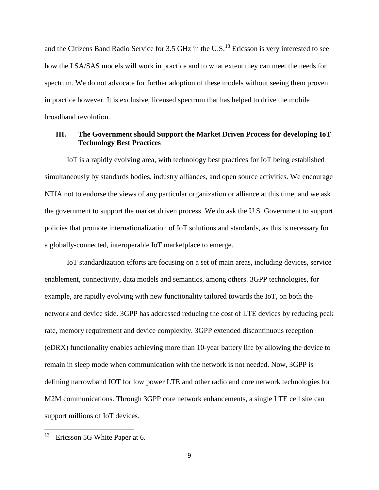and the Citizens Band Radio Service for 3.5 GHz in the U.S.<sup>[13](#page-8-0)</sup> Ericsson is very interested to see how the LSA/SAS models will work in practice and to what extent they can meet the needs for spectrum. We do not advocate for further adoption of these models without seeing them proven in practice however. It is exclusive, licensed spectrum that has helped to drive the mobile broadband revolution.

## **III. The Government should Support the Market Driven Process for developing IoT Technology Best Practices**

IoT is a rapidly evolving area, with technology best practices for IoT being established simultaneously by standards bodies, industry alliances, and open source activities. We encourage NTIA not to endorse the views of any particular organization or alliance at this time, and we ask the government to support the market driven process. We do ask the U.S. Government to support policies that promote internationalization of IoT solutions and standards, as this is necessary for a globally-connected, interoperable IoT marketplace to emerge.

IoT standardization efforts are focusing on a set of main areas, including devices, service enablement, connectivity, data models and semantics, among others. 3GPP technologies, for example, are rapidly evolving with new functionality tailored towards the IoT, on both the network and device side. 3GPP has addressed reducing the cost of LTE devices by reducing peak rate, memory requirement and device complexity. 3GPP extended discontinuous reception (eDRX) functionality enables achieving more than 10-year battery life by allowing the device to remain in sleep mode when communication with the network is not needed. Now, 3GPP is defining narrowband IOT for low power LTE and other radio and core network technologies for M2M communications. Through 3GPP core network enhancements, a single LTE cell site can support millions of IoT devices.

<span id="page-8-0"></span>Ericsson 5G White Paper at 6. 13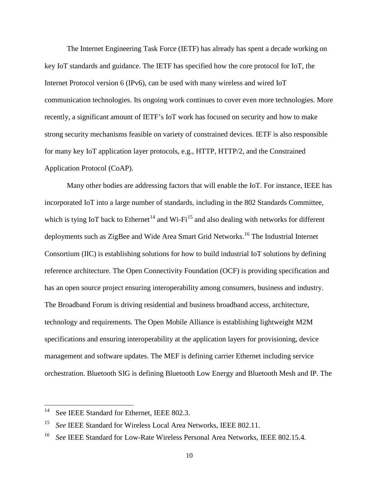The Internet Engineering Task Force (IETF) has already has spent a decade working on key IoT standards and guidance. The IETF has specified how the core protocol for IoT, the Internet Protocol version 6 (IPv6), can be used with many wireless and wired IoT communication technologies. Its ongoing work continues to cover even more technologies. More recently, a significant amount of IETF's IoT work has focused on security and how to make strong security mechanisms feasible on variety of constrained devices. IETF is also responsible for many key IoT application layer protocols, e.g., HTTP, HTTP/2, and the Constrained Application Protocol (CoAP).

Many other bodies are addressing factors that will enable the IoT. For instance, IEEE has incorporated IoT into a large number of standards, including in the 802 Standards Committee, which is tying IoT back to Ethernet<sup>[14](#page-9-0)</sup> and Wi-Fi<sup>[15](#page-9-1)</sup> and also dealing with networks for different deployments such as ZigBee and Wide Area Smart Grid Networks.<sup>[16](#page-9-2)</sup> The Industrial Internet Consortium (IIC) is establishing solutions for how to build industrial IoT solutions by defining reference architecture. The Open Connectivity Foundation (OCF) is providing specification and has an open source project ensuring interoperability among consumers, business and industry. The Broadband Forum is driving residential and business broadband access, architecture, technology and requirements. The Open Mobile Alliance is establishing lightweight M2M specifications and ensuring interoperability at the application layers for provisioning, device management and software updates. The MEF is defining carrier Ethernet including service orchestration. Bluetooth SIG is defining Bluetooth Low Energy and Bluetooth Mesh and IP. The

<span id="page-9-0"></span>See IEEE Standard for Ethernet, IEEE 802.3. 14

<span id="page-9-1"></span><sup>&</sup>lt;sup>15</sup> *See* IEEE Standard for Wireless Local Area Networks, IEEE 802.11.

<span id="page-9-2"></span><sup>&</sup>lt;sup>16</sup> *See* IEEE Standard for Low-Rate Wireless Personal Area Networks, IEEE 802.15.4.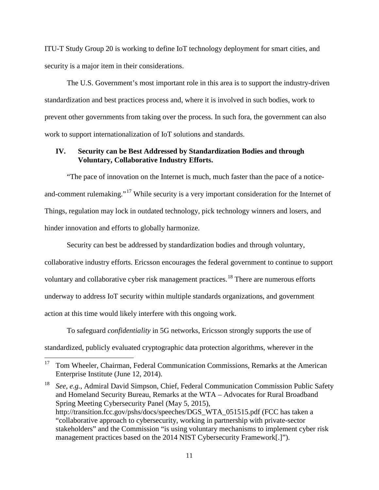ITU-T Study Group 20 is working to define IoT technology deployment for smart cities, and security is a major item in their considerations.

The U.S. Government's most important role in this area is to support the industry-driven standardization and best practices process and, where it is involved in such bodies, work to prevent other governments from taking over the process. In such fora, the government can also work to support internationalization of IoT solutions and standards.

## **IV. Security can be Best Addressed by Standardization Bodies and through Voluntary, Collaborative Industry Efforts.**

"The pace of innovation on the Internet is much, much faster than the pace of a notice-and-comment rulemaking."<sup>[17](#page-10-0)</sup> While security is a very important consideration for the Internet of Things, regulation may lock in outdated technology, pick technology winners and losers, and hinder innovation and efforts to globally harmonize.

Security can best be addressed by standardization bodies and through voluntary, collaborative industry efforts. Ericsson encourages the federal government to continue to support voluntary and collaborative cyber risk management practices.[18](#page-10-1) There are numerous efforts underway to address IoT security within multiple standards organizations, and government action at this time would likely interfere with this ongoing work.

To safeguard *confidentiality* in 5G networks, Ericsson strongly supports the use of standardized, publicly evaluated cryptographic data protection algorithms, wherever in the

<span id="page-10-0"></span><sup>17</sup> Tom Wheeler, Chairman, Federal Communication Commissions, Remarks at the American Enterprise Institute (June 12, 2014). 17

<span id="page-10-1"></span><sup>18</sup> *See, e.g.*, Admiral David Simpson, Chief, Federal Communication Commission Public Safety and Homeland Security Bureau, Remarks at the WTA – Advocates for Rural Broadband Spring Meeting Cybersecurity Panel (May 5, 2015), http://transition.fcc.gov/pshs/docs/speeches/DGS\_WTA\_051515.pdf (FCC has taken a "collaborative approach to cybersecurity, working in partnership with private-sector stakeholders" and the Commission "is using voluntary mechanisms to implement cyber risk management practices based on the 2014 NIST Cybersecurity Framework[.]").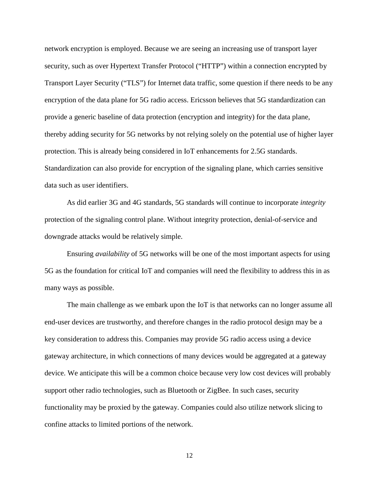network encryption is employed. Because we are seeing an increasing use of transport layer security, such as over Hypertext Transfer Protocol ("HTTP") within a connection encrypted by Transport Layer Security ("TLS") for Internet data traffic, some question if there needs to be any encryption of the data plane for 5G radio access. Ericsson believes that 5G standardization can provide a generic baseline of data protection (encryption and integrity) for the data plane, thereby adding security for 5G networks by not relying solely on the potential use of higher layer protection. This is already being considered in IoT enhancements for 2.5G standards. Standardization can also provide for encryption of the signaling plane, which carries sensitive data such as user identifiers.

As did earlier 3G and 4G standards, 5G standards will continue to incorporate *integrity* protection of the signaling control plane. Without integrity protection, denial-of-service and downgrade attacks would be relatively simple.

Ensuring *availability* of 5G networks will be one of the most important aspects for using 5G as the foundation for critical IoT and companies will need the flexibility to address this in as many ways as possible.

The main challenge as we embark upon the IoT is that networks can no longer assume all end-user devices are trustworthy, and therefore changes in the radio protocol design may be a key consideration to address this. Companies may provide 5G radio access using a device gateway architecture, in which connections of many devices would be aggregated at a gateway device. We anticipate this will be a common choice because very low cost devices will probably support other radio technologies, such as Bluetooth or ZigBee. In such cases, security functionality may be proxied by the gateway. Companies could also utilize network slicing to confine attacks to limited portions of the network.

12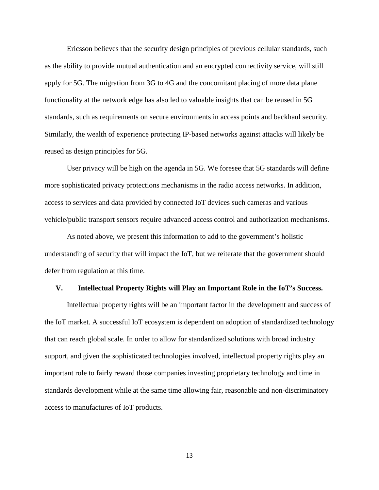Ericsson believes that the security design principles of previous cellular standards, such as the ability to provide mutual authentication and an encrypted connectivity service, will still apply for 5G. The migration from 3G to 4G and the concomitant placing of more data plane functionality at the network edge has also led to valuable insights that can be reused in 5G standards, such as requirements on secure environments in access points and backhaul security. Similarly, the wealth of experience protecting IP-based networks against attacks will likely be reused as design principles for 5G.

User privacy will be high on the agenda in 5G. We foresee that 5G standards will define more sophisticated privacy protections mechanisms in the radio access networks. In addition, access to services and data provided by connected IoT devices such cameras and various vehicle/public transport sensors require advanced access control and authorization mechanisms.

As noted above, we present this information to add to the government's holistic understanding of security that will impact the IoT, but we reiterate that the government should defer from regulation at this time.

#### **V. Intellectual Property Rights will Play an Important Role in the IoT's Success.**

Intellectual property rights will be an important factor in the development and success of the IoT market. A successful IoT ecosystem is dependent on adoption of standardized technology that can reach global scale. In order to allow for standardized solutions with broad industry support, and given the sophisticated technologies involved, intellectual property rights play an important role to fairly reward those companies investing proprietary technology and time in standards development while at the same time allowing fair, reasonable and non-discriminatory access to manufactures of IoT products.

13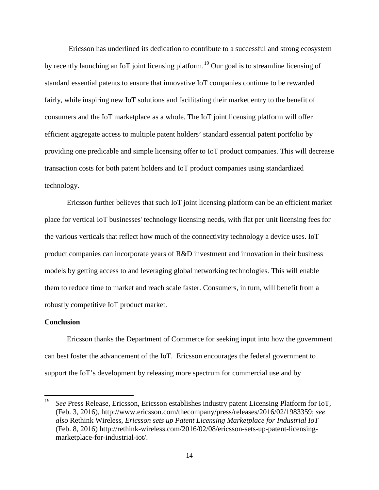Ericsson has underlined its dedication to contribute to a successful and strong ecosystem by recently launching an IoT joint licensing platform.<sup>[19](#page-13-0)</sup> Our goal is to streamline licensing of standard essential patents to ensure that innovative IoT companies continue to be rewarded fairly, while inspiring new IoT solutions and facilitating their market entry to the benefit of consumers and the IoT marketplace as a whole. The IoT joint licensing platform will offer efficient aggregate access to multiple patent holders' standard essential patent portfolio by providing one predicable and simple licensing offer to IoT product companies. This will decrease transaction costs for both patent holders and IoT product companies using standardized technology.

Ericsson further believes that such IoT joint licensing platform can be an efficient market place for vertical IoT businesses' technology licensing needs, with flat per unit licensing fees for the various verticals that reflect how much of the connectivity technology a device uses. IoT product companies can incorporate years of R&D investment and innovation in their business models by getting access to and leveraging global networking technologies. This will enable them to reduce time to market and reach scale faster. Consumers, in turn, will benefit from a robustly competitive IoT product market.

## **Conclusion**

Ericsson thanks the Department of Commerce for seeking input into how the government can best foster the advancement of the IoT. Ericsson encourages the federal government to support the IoT's development by releasing more spectrum for commercial use and by

<span id="page-13-0"></span><sup>19</sup> *See* Press Release, Ericsson, Ericsson establishes industry patent Licensing Platform for IoT, (Feb. 3, 2016), http://www.ericsson.com/thecompany/press/releases/2016/02/1983359; *see also* Rethink Wireless, *Ericsson sets up Patent Licensing Marketplace for Industrial IoT* (Feb. 8, 2016) http://rethink-wireless.com/2016/02/08/ericsson-sets-up-patent-licensingmarketplace-for-industrial-iot/. 19